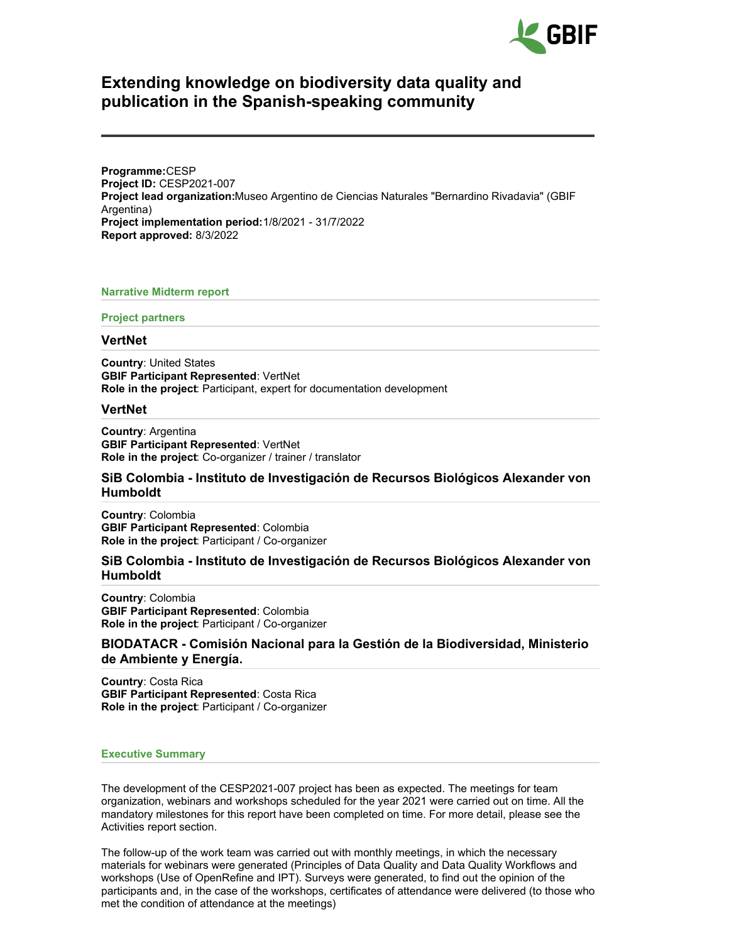

# **Extending knowledge on biodiversity data quality and publication in the Spanish-speaking community**

**Programme:**CESP **Project ID:** CESP2021-007 **Project lead organization:**Museo Argentino de Ciencias Naturales "Bernardino Rivadavia" (GBIF Argentina) **Project implementation period:**1/8/2021 - 31/7/2022 **Report approved:** 8/3/2022

#### **Narrative Midterm report**

#### **Project partners**

#### **VertNet**

**Country**: United States **GBIF Participant Represented**: VertNet **Role in the project**: Participant, expert for documentation development

#### **VertNet**

**Country**: Argentina **GBIF Participant Represented**: VertNet **Role in the project**: Co-organizer / trainer / translator

### **SiB Colombia - Instituto de Investigación de Recursos Biológicos Alexander von Humboldt**

**Country**: Colombia **GBIF Participant Represented**: Colombia **Role in the project**: Participant / Co-organizer

# **SiB Colombia - Instituto de Investigación de Recursos Biológicos Alexander von Humboldt**

**Country**: Colombia **GBIF Participant Represented**: Colombia **Role in the project**: Participant / Co-organizer

# **BIODATACR - Comisión Nacional para la Gestión de la Biodiversidad, Ministerio de Ambiente y Energía.**

**Country**: Costa Rica **GBIF Participant Represented**: Costa Rica **Role in the project**: Participant / Co-organizer

#### **Executive Summary**

The development of the CESP2021-007 project has been as expected. The meetings for team organization, webinars and workshops scheduled for the year 2021 were carried out on time. All the mandatory milestones for this report have been completed on time. For more detail, please see the Activities report section.

The follow-up of the work team was carried out with monthly meetings, in which the necessary materials for webinars were generated (Principles of Data Quality and Data Quality Workflows and workshops (Use of OpenRefine and IPT). Surveys were generated, to find out the opinion of the participants and, in the case of the workshops, certificates of attendance were delivered (to those who met the condition of attendance at the meetings)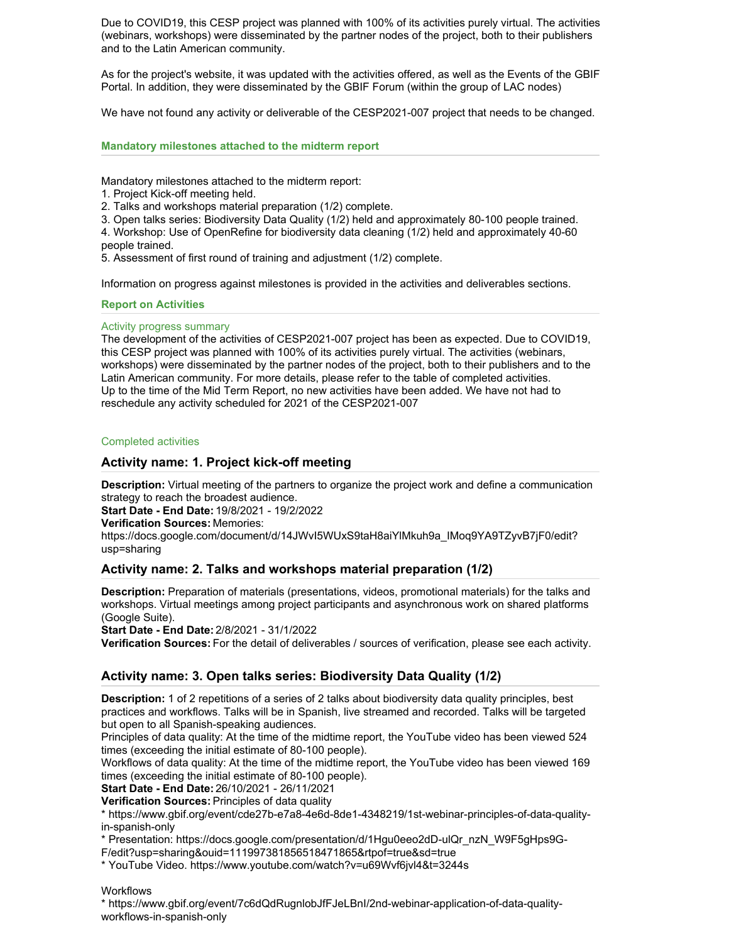Due to COVID19, this CESP project was planned with 100% of its activities purely virtual. The activities (webinars, workshops) were disseminated by the partner nodes of the project, both to their publishers and to the Latin American community.

As for the project's website, it was updated with the activities offered, as well as the Events of the GBIF Portal. In addition, they were disseminated by the GBIF Forum (within the group of LAC nodes)

We have not found any activity or deliverable of the CESP2021-007 project that needs to be changed.

### **Mandatory milestones attached to the midterm report**

Mandatory milestones attached to the midterm report:

1. Project Kick-off meeting held.

2. Talks and workshops material preparation (1/2) complete.

3. Open talks series: Biodiversity Data Quality (1/2) held and approximately 80-100 people trained.

4. Workshop: Use of OpenRefine for biodiversity data cleaning (1/2) held and approximately 40-60 people trained.

5. Assessment of first round of training and adjustment (1/2) complete.

Information on progress against milestones is provided in the activities and deliverables sections.

### **Report on Activities**

### Activity progress summary

The development of the activities of CESP2021-007 project has been as expected. Due to COVID19, this CESP project was planned with 100% of its activities purely virtual. The activities (webinars, workshops) were disseminated by the partner nodes of the project, both to their publishers and to the Latin American community. For more details, please refer to the table of completed activities. Up to the time of the Mid Term Report, no new activities have been added. We have not had to reschedule any activity scheduled for 2021 of the CESP2021-007

#### Completed activities

# **Activity name: 1. Project kick-off meeting**

**Description:** Virtual meeting of the partners to organize the project work and define a communication strategy to reach the broadest audience.

**Start Date - End Date:** 19/8/2021 - 19/2/2022

#### **Verification Sources:** Memories:

https://docs.google.com/document/d/14JWvI5WUxS9taH8aiYlMkuh9a\_IMoq9YA9TZyvB7jF0/edit? usp=sharing

### **Activity name: 2. Talks and workshops material preparation (1/2)**

**Description:** Preparation of materials (presentations, videos, promotional materials) for the talks and workshops. Virtual meetings among project participants and asynchronous work on shared platforms (Google Suite).

**Start Date - End Date:** 2/8/2021 - 31/1/2022

**Verification Sources:** For the detail of deliverables / sources of verification, please see each activity.

# **Activity name: 3. Open talks series: Biodiversity Data Quality (1/2)**

**Description:** 1 of 2 repetitions of a series of 2 talks about biodiversity data quality principles, best practices and workflows. Talks will be in Spanish, live streamed and recorded. Talks will be targeted but open to all Spanish-speaking audiences.

Principles of data quality: At the time of the midtime report, the YouTube video has been viewed 524 times (exceeding the initial estimate of 80-100 people).

Workflows of data quality: At the time of the midtime report, the YouTube video has been viewed 169 times (exceeding the initial estimate of 80-100 people).

**Start Date - End Date:** 26/10/2021 - 26/11/2021

**Verification Sources:** Principles of data quality

\* https://www.gbif.org/event/cde27b-e7a8-4e6d-8de1-4348219/1st-webinar-principles-of-data-qualityin-spanish-only

\* Presentation: https://docs.google.com/presentation/d/1Hgu0eeo2dD-ulQr\_nzN\_W9F5gHps9G-

F/edit?usp=sharing&ouid=111997381856518471865&rtpof=true&sd=true

\* YouTube Video. https://www.youtube.com/watch?v=u69Wvf6jvl4&t=3244s

**Workflows** 

\* https://www.gbif.org/event/7c6dQdRugnlobJfFJeLBnI/2nd-webinar-application-of-data-qualityworkflows-in-spanish-only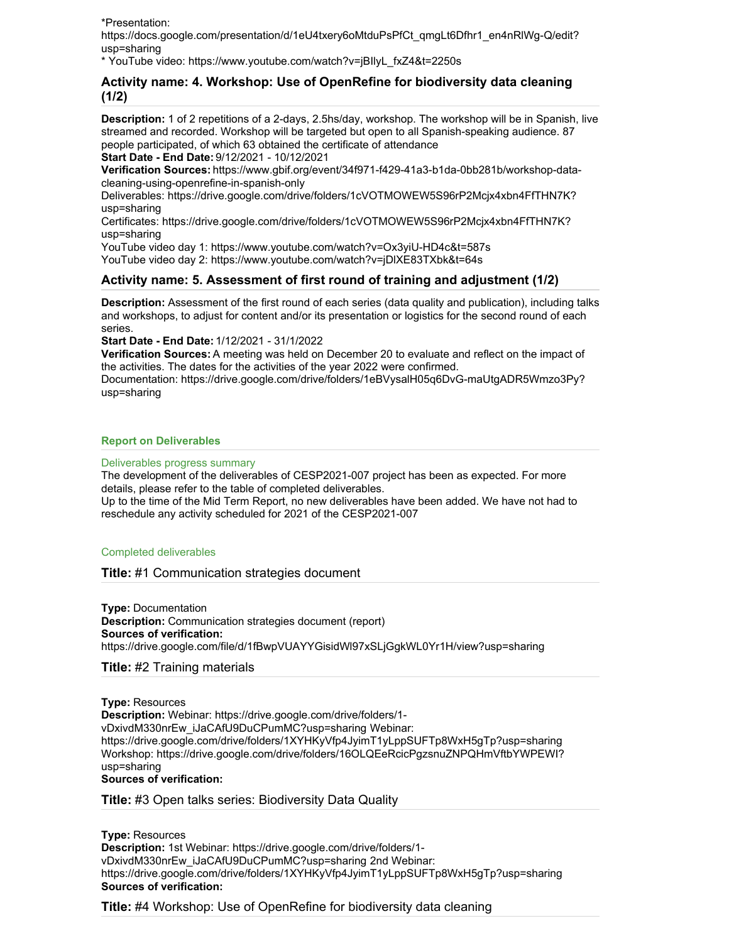\*Presentation:

https://docs.google.com/presentation/d/1eU4txery6oMtduPsPfCt\_qmgLt6Dfhr1\_en4nRlWg-Q/edit? usp=sharing

\* YouTube video: https://www.youtube.com/watch?v=jBIlyL\_fxZ4&t=2250s

# **Activity name: 4. Workshop: Use of OpenRefine for biodiversity data cleaning (1/2)**

**Description:** 1 of 2 repetitions of a 2-days, 2.5hs/day, workshop. The workshop will be in Spanish, live streamed and recorded. Workshop will be targeted but open to all Spanish-speaking audience. 87 people participated, of which 63 obtained the certificate of attendance

**Start Date - End Date:** 9/12/2021 - 10/12/2021

**Verification Sources:** https://www.gbif.org/event/34f971-f429-41a3-b1da-0bb281b/workshop-datacleaning-using-openrefine-in-spanish-only

Deliverables: https://drive.google.com/drive/folders/1cVOTMOWEW5S96rP2Mcjx4xbn4FfTHN7K? usp=sharing

Certificates: https://drive.google.com/drive/folders/1cVOTMOWEW5S96rP2Mcjx4xbn4FfTHN7K? usp=sharing

YouTube video day 1: https://www.youtube.com/watch?v=Ox3yiU-HD4c&t=587s

YouTube video day 2: https://www.youtube.com/watch?v=jDlXE83TXbk&t=64s

# **Activity name: 5. Assessment of first round of training and adjustment (1/2)**

**Description:** Assessment of the first round of each series (data quality and publication), including talks and workshops, to adjust for content and/or its presentation or logistics for the second round of each series.

**Start Date - End Date:** 1/12/2021 - 31/1/2022

**Verification Sources:** A meeting was held on December 20 to evaluate and reflect on the impact of the activities. The dates for the activities of the year 2022 were confirmed.

Documentation: https://drive.google.com/drive/folders/1eBVysalH05q6DvG-maUtgADR5Wmzo3Py? usp=sharing

### **Report on Deliverables**

#### Deliverables progress summary

The development of the deliverables of CESP2021-007 project has been as expected. For more details, please refer to the table of completed deliverables.

Up to the time of the Mid Term Report, no new deliverables have been added. We have not had to reschedule any activity scheduled for 2021 of the CESP2021-007

#### Completed deliverables

# **Title:** #1 Communication strategies document

**Type:** Documentation **Description:** Communication strategies document (report) **Sources of verification:** https://drive.google.com/file/d/1fBwpVUAYYGisidWl97xSLjGgkWL0Yr1H/view?usp=sharing

# **Title:** #2 Training materials

**Type:** Resources

**Description:** Webinar: https://drive.google.com/drive/folders/1 vDxivdM330nrEw\_iJaCAfU9DuCPumMC?usp=sharing Webinar: https://drive.google.com/drive/folders/1XYHKyVfp4JyimT1yLppSUFTp8WxH5gTp?usp=sharing Workshop: https://drive.google.com/drive/folders/16OLQEeRcicPgzsnuZNPQHmVftbYWPEWI? usp=sharing **Sources of verification:**

**Title:** #3 Open talks series: Biodiversity Data Quality

**Type:** Resources **Description:** 1st Webinar: https://drive.google.com/drive/folders/1 vDxivdM330nrEw\_iJaCAfU9DuCPumMC?usp=sharing 2nd Webinar: https://drive.google.com/drive/folders/1XYHKyVfp4JyimT1yLppSUFTp8WxH5gTp?usp=sharing **Sources of verification:**

**Title:** #4 Workshop: Use of OpenRefine for biodiversity data cleaning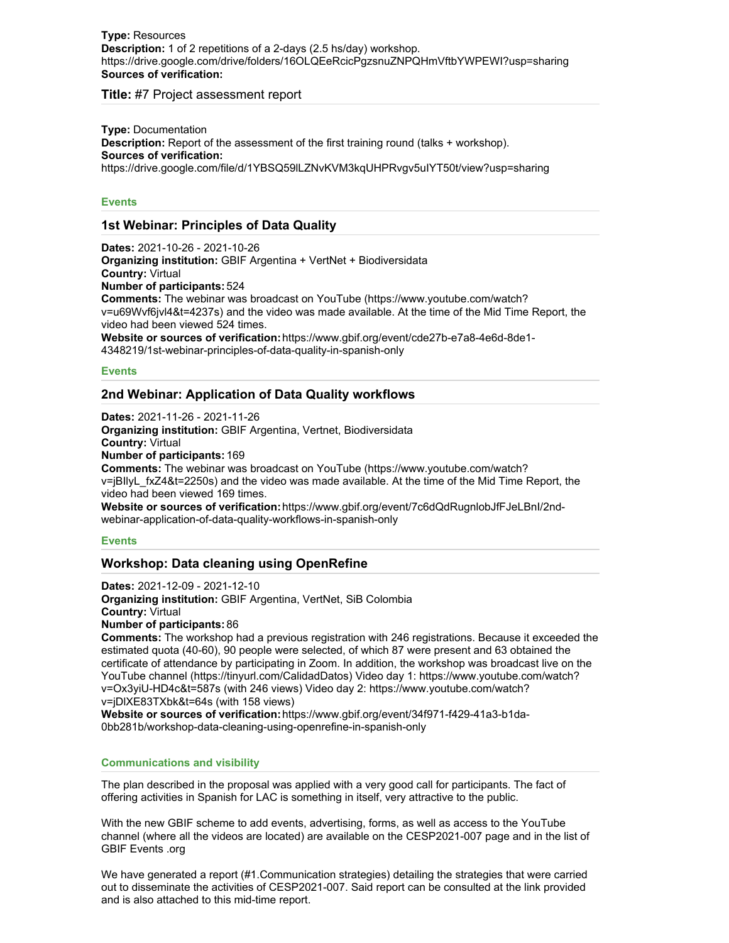### **Type:** Resources **Description:** 1 of 2 repetitions of a 2-days (2.5 hs/day) workshop. https://drive.google.com/drive/folders/16OLQEeRcicPgzsnuZNPQHmVftbYWPEWI?usp=sharing **Sources of verification:**

**Title:** #7 Project assessment report

**Type:** Documentation **Description:** Report of the assessment of the first training round (talks + workshop). **Sources of verification:** https://drive.google.com/file/d/1YBSQ59lLZNvKVM3kqUHPRvgv5uIYT50t/view?usp=sharing

### **Events**

# **1st Webinar: Principles of Data Quality**

**Dates:** 2021-10-26 - 2021-10-26 **Organizing institution:** GBIF Argentina + VertNet + Biodiversidata **Country:** Virtual **Number of participants:** 524 **Comments:** The webinar was broadcast on YouTube (https://www.youtube.com/watch? v=u69Wvf6jvl4&t=4237s) and the video was made available. At the time of the Mid Time Report, the video had been viewed 524 times. **Website or sources of verification:**https://www.gbif.org/event/cde27b-e7a8-4e6d-8de1- 4348219/1st-webinar-principles-of-data-quality-in-spanish-only

**Events**

### **2nd Webinar: Application of Data Quality workflows**

**Dates:** 2021-11-26 - 2021-11-26 **Organizing institution:** GBIF Argentina, Vertnet, Biodiversidata **Country:** Virtual **Number of participants:** 169 **Comments:** The webinar was broadcast on YouTube (https://www.youtube.com/watch? v=jBIlyL\_fxZ4&t=2250s) and the video was made available. At the time of the Mid Time Report, the video had been viewed 169 times. **Website or sources of verification:**https://www.gbif.org/event/7c6dQdRugnlobJfFJeLBnI/2ndwebinar-application-of-data-quality-workflows-in-spanish-only

### **Events**

# **Workshop: Data cleaning using OpenRefine**

**Dates:** 2021-12-09 - 2021-12-10 **Organizing institution:** GBIF Argentina, VertNet, SiB Colombia **Country:** Virtual **Number of participants:** 86

**Comments:** The workshop had a previous registration with 246 registrations. Because it exceeded the estimated quota (40-60), 90 people were selected, of which 87 were present and 63 obtained the certificate of attendance by participating in Zoom. In addition, the workshop was broadcast live on the YouTube channel (https://tinyurl.com/CalidadDatos) Video day 1: https://www.youtube.com/watch? v=Ox3yiU-HD4c&t=587s (with 246 views) Video day 2: https://www.youtube.com/watch? v=jDlXE83TXbk&t=64s (with 158 views)

**Website or sources of verification:**https://www.gbif.org/event/34f971-f429-41a3-b1da-0bb281b/workshop-data-cleaning-using-openrefine-in-spanish-only

#### **Communications and visibility**

The plan described in the proposal was applied with a very good call for participants. The fact of offering activities in Spanish for LAC is something in itself, very attractive to the public.

With the new GBIF scheme to add events, advertising, forms, as well as access to the YouTube channel (where all the videos are located) are available on the CESP2021-007 page and in the list of GBIF Events .org

We have generated a report (#1.Communication strategies) detailing the strategies that were carried out to disseminate the activities of CESP2021-007. Said report can be consulted at the link provided and is also attached to this mid-time report.